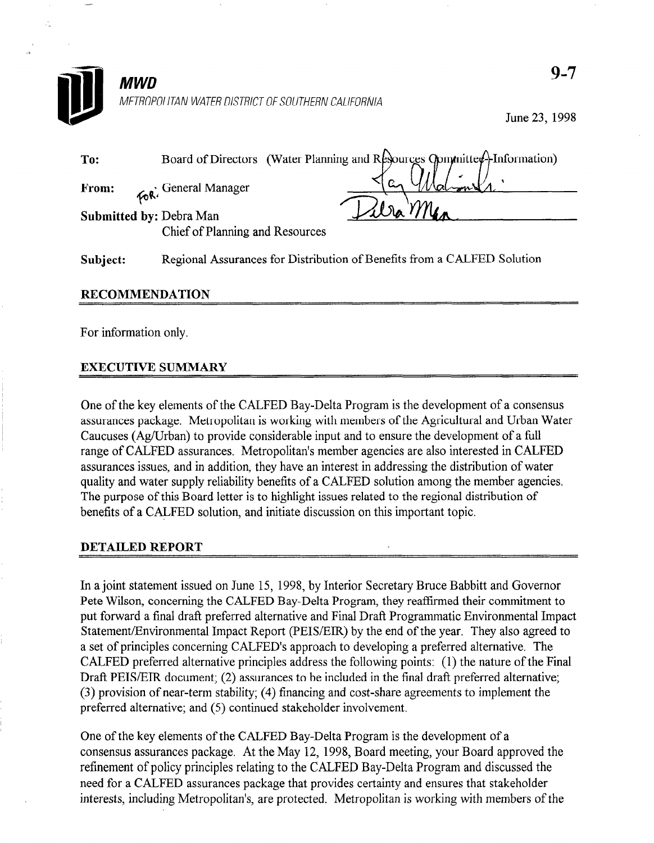

June 23, 1998

| To:                            |                                 | Board of Directors (Water Planning and Resources Committee <sup>4</sup> -Information) |
|--------------------------------|---------------------------------|---------------------------------------------------------------------------------------|
| From:                          | <b>Ford</b> General Manager     |                                                                                       |
| <b>Submitted by: Debra Man</b> | Chief of Planning and Resources | $\triangle$ $\triangle$ $\vee$                                                        |

Subject: Regional Assurances for Distribution of Benefits from a CALFED Solution

## RECOMMENDATION

For information only.

## EXECUTIVE SUMMARY

One of the key elements of the CALFED Bay-Delta Program is the development of a consensus assurances package. Metropolitan is working with members of the Agricultural and Urban Water Caucuses (Ag/Urban) to provide considerable input and to ensure the development of a full Caucuses (Agronal) to provide considerable input and to ensure the development of a rule ange of exercise assurances. Metropolitan's includer agencies are also interested in exerciassurances issues, and in addition, they have an interest in additional distribution of water quality and water supply reliability benefits of a CALFED solution among the member age The purpose of this Board letter is to highlight issues related to the regional distribution of benefits of a CALFED solution, and initiate discussion on this important topic.

## DETAILED REPORT

In a joint statement issued on June 15, 1998, by interior Secretary Bruce Babbitt and Governor Pete Wilson, concerning the CALFED Bay-Delta Program, they reaffirmed their commitment to put forward a final draft preferred alternative and Final Draft Programmatic Environmental Impact Statement/Environmental Impact Report (PEIS/EIR) by the end of the year. They also agreed to a set of principles concerning CALFED's approach to developing a preferred alternative. The CALFED preferred alternative principles address the following points: (1) the nature of the Final Draft PEIS/EIR document; (2) assurances to be included in the final draft preferred alternative; (3) provision of near-term stability; (4) financing and cost-share agreements to implement the preferred alternative; and (5) continued stakeholder involvement.

One of the key elements of the CALFED Bay-Delta Program is the development of a consensus assurances package. At the May 12, 1998, Board meeting, your Board approved the refinement of policy principles relating to the CALFED Bay-Delta Program and discussed the need for a CALFED assurances package that provides certainty and ensures that stakeholder interests, including Metropolitan's, are protected. Metropolitan is working with members of the